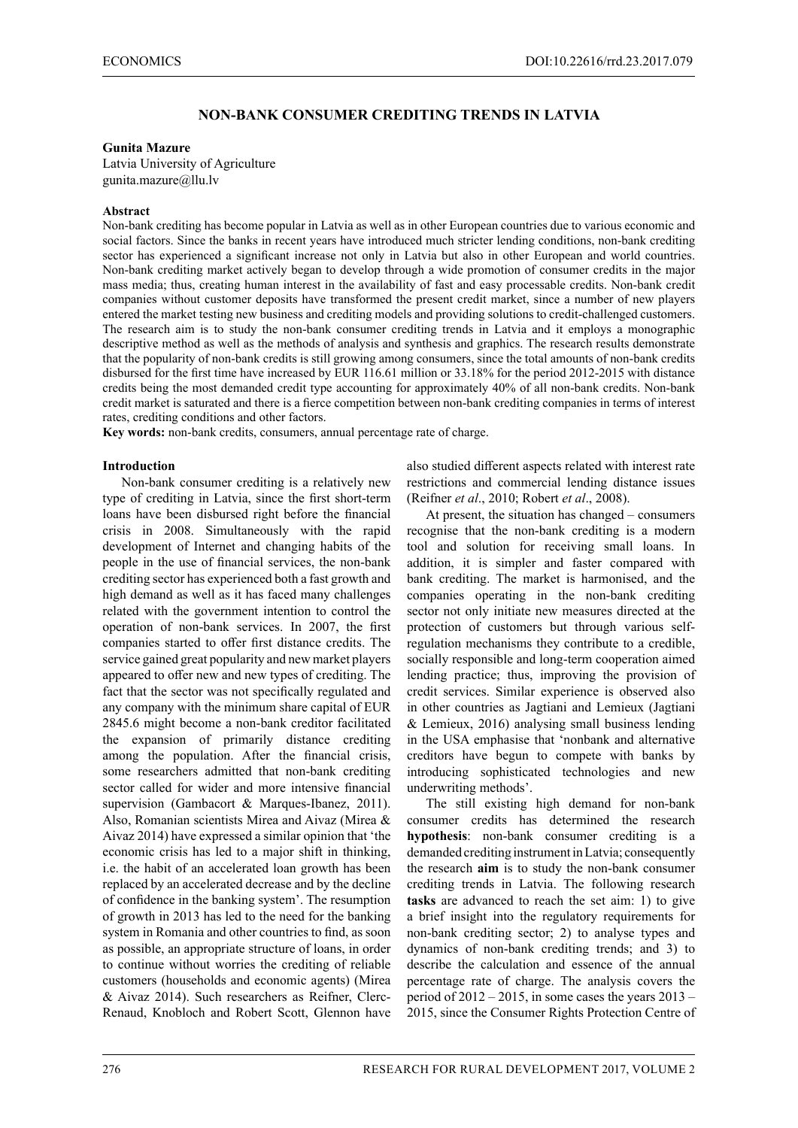# **NON-BANK CONSUMER CREDITING TRENDS IN LATVIA**

#### **Gunita Mazure**

Latvia University of Agriculture gunita.mazure@llu.lv

#### **Abstract**

Non-bank crediting has become popular in Latvia as well as in other European countries due to various economic and social factors. Since the banks in recent years have introduced much stricter lending conditions, non-bank crediting sector has experienced a significant increase not only in Latvia but also in other European and world countries. Non-bank crediting market actively began to develop through a wide promotion of consumer credits in the major mass media; thus, creating human interest in the availability of fast and easy processable credits. Non-bank credit companies without customer deposits have transformed the present credit market, since a number of new players entered the market testing new business and crediting models and providing solutions to credit-challenged customers. The research aim is to study the non-bank consumer crediting trends in Latvia and it employs a monographic descriptive method as well as the methods of analysis and synthesis and graphics. The research results demonstrate that the popularity of non-bank credits is still growing among consumers, since the total amounts of non-bank credits disbursed for the first time have increased by EUR 116.61 million or 33.18% for the period 2012-2015 with distance credits being the most demanded credit type accounting for approximately 40% of all non-bank credits. Non-bank credit market is saturated and there is a fierce competition between non-bank crediting companies in terms of interest rates, crediting conditions and other factors.

**Key words:** non-bank credits, consumers, annual percentage rate of charge.

#### **Introduction**

Non-bank consumer crediting is a relatively new type of crediting in Latvia, since the first short-term loans have been disbursed right before the financial crisis in 2008. Simultaneously with the rapid development of Internet and changing habits of the people in the use of financial services, the non-bank crediting sector has experienced both a fast growth and high demand as well as it has faced many challenges related with the government intention to control the operation of non-bank services. In 2007, the first companies started to offer first distance credits. The service gained great popularity and new market players appeared to offer new and new types of crediting. The fact that the sector was not specifically regulated and any company with the minimum share capital of EUR 2845.6 might become a non-bank creditor facilitated the expansion of primarily distance crediting among the population. After the financial crisis, some researchers admitted that non-bank crediting sector called for wider and more intensive financial supervision (Gambacort & Marques-Ibanez, 2011). Also, Romanian scientists Mirea and Aivaz (Mirea & Aivaz 2014) have expressed a similar opinion that 'the economic crisis has led to a major shift in thinking, i.e. the habit of an accelerated loan growth has been replaced by an accelerated decrease and by the decline of confidence in the banking system'. The resumption of growth in 2013 has led to the need for the banking system in Romania and other countries to find, as soon as possible, an appropriate structure of loans, in order to continue without worries the crediting of reliable customers (households and economic agents) (Mirea & Aivaz 2014). Such researchers as Reifner, Clerc-Renaud, Knobloch and Robert Scott, Glennon have

also studied different aspects related with interest rate restrictions and commercial lending distance issues (Reifner *et al*., 2010; Robert *et al*., 2008).

At present, the situation has changed – consumers recognise that the non-bank crediting is a modern tool and solution for receiving small loans. In addition, it is simpler and faster compared with bank crediting. The market is harmonised, and the companies operating in the non-bank crediting sector not only initiate new measures directed at the protection of customers but through various selfregulation mechanisms they contribute to a credible, socially responsible and long-term cooperation aimed lending practice; thus, improving the provision of credit services. Similar experience is observed also in other countries as Jagtiani and Lemieux (Jagtiani & Lemieux, 2016) analysing small business lending in the USA emphasise that 'nonbank and alternative creditors have begun to compete with banks by introducing sophisticated technologies and new underwriting methods'.

The still existing high demand for non-bank consumer credits has determined the research **hypothesis**: non-bank consumer crediting is a demanded crediting instrument in Latvia; consequently the research **aim** is to study the non-bank consumer crediting trends in Latvia. The following research **tasks** are advanced to reach the set aim: 1) to give a brief insight into the regulatory requirements for non-bank crediting sector; 2) to analyse types and dynamics of non-bank crediting trends; and 3) to describe the calculation and essence of the annual percentage rate of charge. The analysis covers the period of  $2012 - 2015$ , in some cases the years  $2013 -$ 2015, since the Consumer Rights Protection Centre of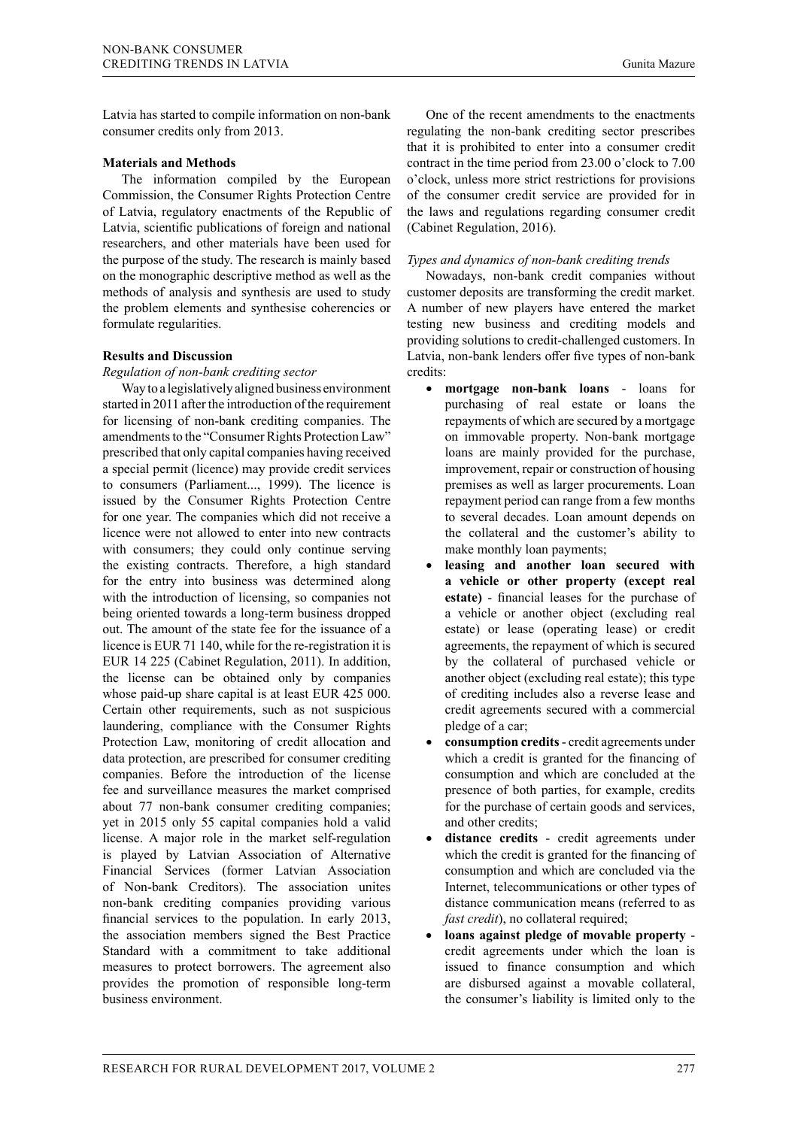Latvia has started to compile information on non-bank consumer credits only from 2013.

#### **Materials and Methods**

The information compiled by the European Commission, the Consumer Rights Protection Centre of Latvia, regulatory enactments of the Republic of Latvia, scientific publications of foreign and national researchers, and other materials have been used for the purpose of the study. The research is mainly based on the monographic descriptive method as well as the methods of analysis and synthesis are used to study the problem elements and synthesise coherencies or formulate regularities.

## **Results and Discussion**

*Regulation of non-bank crediting sector* 

Way to a legislatively aligned business environment started in 2011 after the introduction of the requirement for licensing of non-bank crediting companies. The amendments to the "Consumer Rights Protection Law" prescribed that only capital companies having received a special permit (licence) may provide credit services to consumers (Parliament..., 1999). The licence is issued by the Consumer Rights Protection Centre for one year. The companies which did not receive a licence were not allowed to enter into new contracts with consumers; they could only continue serving the existing contracts. Therefore, a high standard for the entry into business was determined along with the introduction of licensing, so companies not being oriented towards a long-term business dropped out. The amount of the state fee for the issuance of a licence is EUR 71 140, while for the re-registration it is EUR 14 225 (Cabinet Regulation, 2011). In addition, the license can be obtained only by companies whose paid-up share capital is at least EUR 425 000. Certain other requirements, such as not suspicious laundering, compliance with the Consumer Rights Protection Law, monitoring of credit allocation and data protection, are prescribed for consumer crediting companies. Before the introduction of the license fee and surveillance measures the market comprised about 77 non-bank consumer crediting companies; yet in 2015 only 55 capital companies hold a valid license. A major role in the market self-regulation is played by Latvian Association of Alternative Financial Services (former Latvian Association of Non-bank Creditors). The association unites non-bank crediting companies providing various financial services to the population. In early 2013, the association members signed the Best Practice Standard with a commitment to take additional measures to protect borrowers. The agreement also provides the promotion of responsible long-term business environment.

One of the recent amendments to the enactments regulating the non-bank crediting sector prescribes that it is prohibited to enter into a consumer credit contract in the time period from 23.00 o'clock to 7.00 o'clock, unless more strict restrictions for provisions of the consumer credit service are provided for in the laws and regulations regarding consumer credit (Cabinet Regulation, 2016).

## *Types and dynamics of non-bank crediting trends*

Nowadays, non-bank credit companies without customer deposits are transforming the credit market. A number of new players have entered the market testing new business and crediting models and providing solutions to credit-challenged customers. In Latvia, non-bank lenders offer five types of non-bank credits:

- **mortgage non-bank loans** loans for purchasing of real estate or loans the repayments of which are secured by a mortgage on immovable property. Non-bank mortgage loans are mainly provided for the purchase, improvement, repair or construction of housing premises as well as larger procurements. Loan repayment period can range from a few months to several decades. Loan amount depends on the collateral and the customer's ability to make monthly loan payments;
- leasing and another loan secured with **a vehicle or other property (except real estate)** - financial leases for the purchase of a vehicle or another object (excluding real estate) or lease (operating lease) or credit agreements, the repayment of which is secured by the collateral of purchased vehicle or another object (excluding real estate); this type of crediting includes also a reverse lease and credit agreements secured with a commercial pledge of a car;
- consumption credits credit agreements under which a credit is granted for the financing of consumption and which are concluded at the presence of both parties, for example, credits for the purchase of certain goods and services, and other credits;
- distance credits credit agreements under which the credit is granted for the financing of consumption and which are concluded via the Internet, telecommunications or other types of distance communication means (referred to as *fast credit*), no collateral required;
- • **loans against pledge of movable property** credit agreements under which the loan is issued to finance consumption and which are disbursed against a movable collateral, the consumer's liability is limited only to the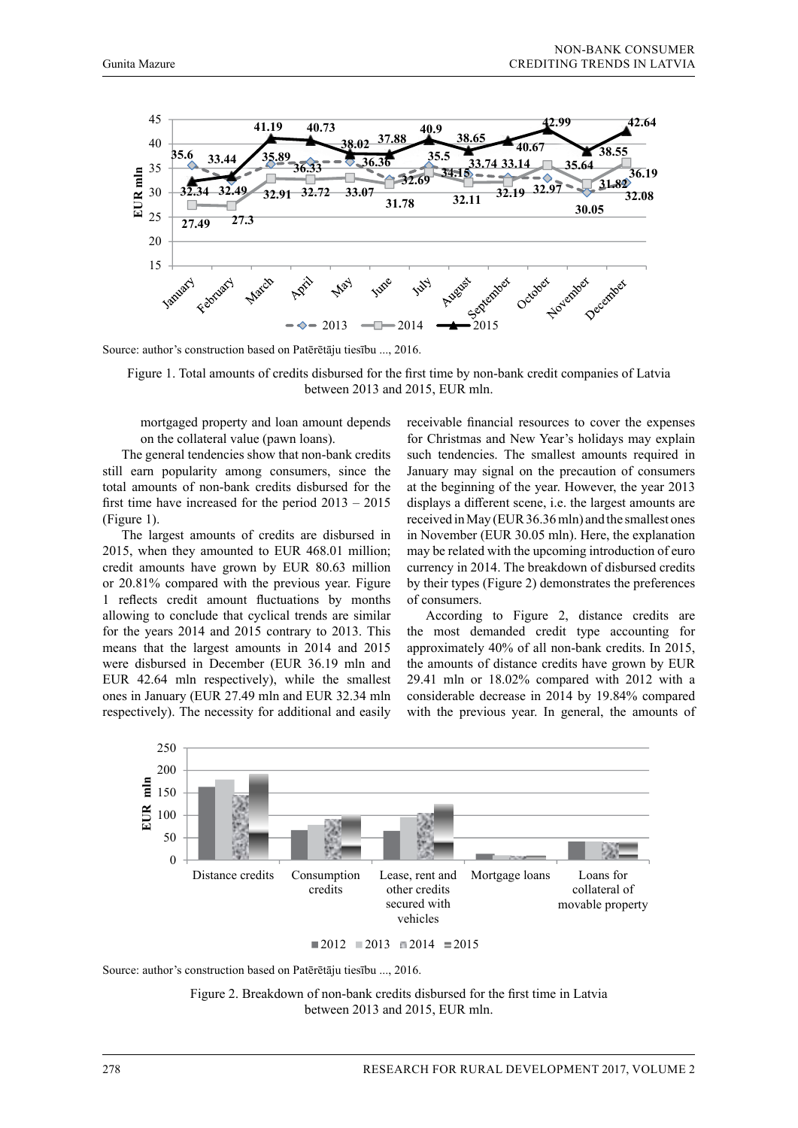

Source: author's construction based on Patērētāju tiesību ..., 2016. Source: author's construction based on Patērētāju tiesību ..., 2016. **32.49 32.91 32.72 33.07 32.34** 30 **31.78**

Figure 1. Total amounts of credits disbursed for the first time by non-bank credit companies of Latvia between Figure 1. Total amounts of credits disbursed for the first time by non-bank credit companies of Latvia between 2013 and 2015, EUR mln. re

mortgaged property and loan amount depends 15 on the collateral value (pawn loans).

The general tendencies show that non-bank credits still earn popularity among consumers, since the January may signal on the precaution of consum total amounts of non-bank credits disbursed for the at the beginning of the year. However, the year 20 first time have increased for the period  $2013 - 2015$  displays a different scene, i.e. the largest amounts a (Figure 1). The general tendencies show that non-bank credits such tendencies. The smallest amounts required in

The largest amounts of credits are disbursed in in Noveml 2015, when they amounted to EUR 468.01 million; may be related with the upcoming intro credit amounts have grown by EUR 80.63 million or 20.81% compared with the previous year. Figure by their types (Figure 2) demonstrates the preferenc 1 reflects credit amount fluctuations by months of consumers. allowing to conclude that cyclical trends are similar for the years  $2014$  and  $2015$  contrary to  $2013$ . This respectively). The necessity contrary to 2015. This the most demanded create type accounting in means that the largest amounts in 2014 and 2015 approximately 40% of all non-bank credits. In 201 were disbursed in December (EUR 36.19 mln and the amounts of distance credits have grown by EU EUR 42.64 mln respectively), while the smallest 29.41 mln or 18.02% compared with 2012 with ones in January (EUR 27.49 mln and EUR 32.34 mln considerable decrease in 2014 by 19.84% compare respectively). The necessity for additional and easily allowing to conclude that cyclical trends are similar  $\overline{a}$  According to Figure 2, distance credits are <sup>30.05</sup> metapolitics of elements of elements and upcoming in the upcoming intervention of euro currency in 2015. respectively). The necessity for additional and easily with the previous year. In general, th **EUR mln** measure  $m_B$  as  $m_B$ . The spectrum respectively, which is  $m_B$  and  $m_B$  and  $m_B$  and  $m_B$  and  $m_B$  and  $m_B$  and  $m_B$  and  $m_B$  and  $m_B$  and  $m_B$  and  $m_B$  and  $m_B$  and  $m_B$  and  $m_B$  and  $m_B$  and  $m_B$  and  $m_B$  and  $m_B$  and The Aristophe Christmas and New York and  $2013$  approximately 40% of an Holi-bank credits. In  $2013$ 

mortgaged property and loan amount depends receivable financial resources to cover the expenses on the collateral value (pawn loans). The Christmas and New Year's holidays may explain January may signal on the precaution of consumers rsed for the at the beginning of the year. However, the year 2013 displays a different scene, i.e. the largest amounts are (Figure 1).  $\frac{1}{2}$  and  $\frac{1}{2}$  and  $\frac{1}{2}$  and  $\frac{1}{2}$  and  $\frac{1}{2}$  and  $\frac{1}{2}$  and  $\frac{1}{2}$  and  $\frac{1}{2}$  and  $\frac{1}{2}$  and  $\frac{1}{2}$  and  $\frac{1}{2}$  and  $\frac{1}{2}$  and  $\frac{1}{2}$  and  $\frac{1}{2}$  and  $\frac{1}{2}$  and The largest amounts of credits are disbursed in  $\frac{1}{2}$  in November (EUR 30.05 mln). Here, the explanation  $\frac{1}{2}$ may be related with the upcoming introduction of euro lit amounts have grown by EUR 80.63 million currency in 2014. The breakdown of disbursed credits by their types (Figure 2) demonstrates the preferences of consumers.

> the most demanded credit type accounting for approximately 40% of all non-bank credits. In 2015, the amounts of distance credits have grown by EUR 29.41 mln or 18.02% compared with 2012 with a considerable decrease in 2014 by 19.84% compared ily with the previous year. In general, the amounts of



 $\blacksquare 2012 \blacksquare 2013 \blacksquare 2014 \blacksquare 2015$ 

Source: author's construction based on Patērētāju tiesību ..., 2016.

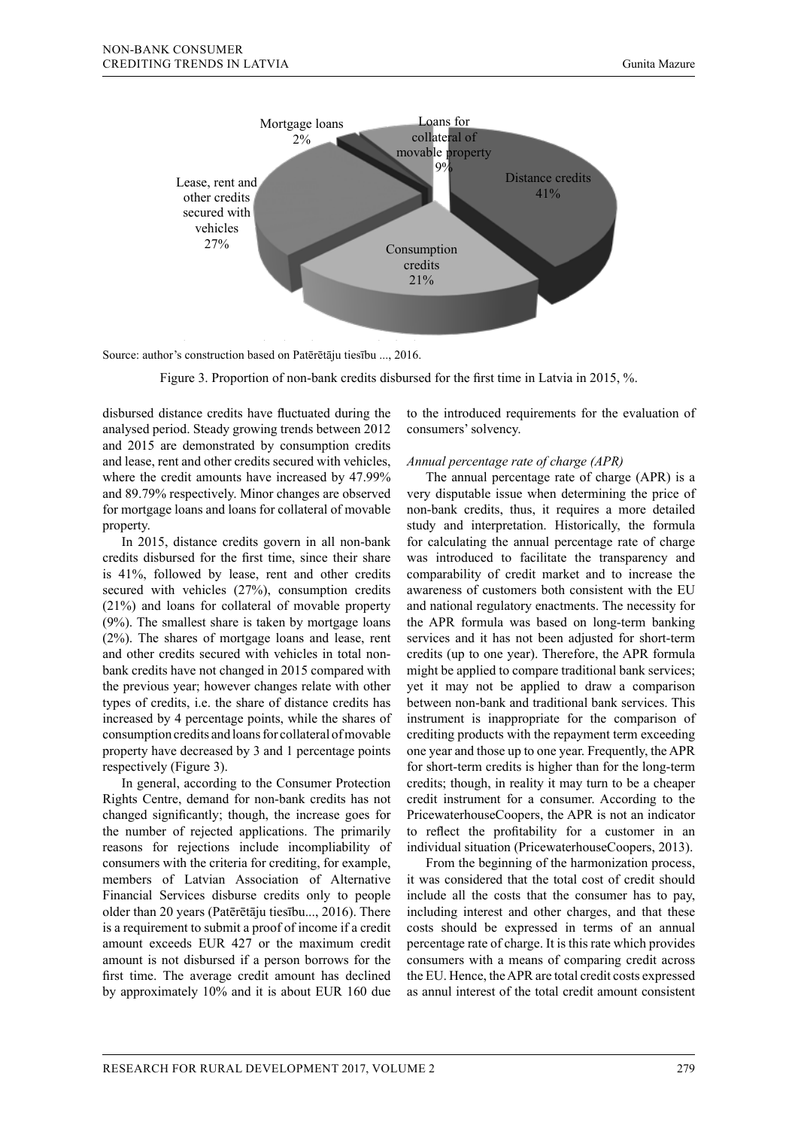

Source: author's construction based on Patērētāju tiesību ..., 2016. Source: author's construction based on Patērētāju tiesību ..., 2016.

Figure 3. Proportion of non-bank credits disbursed for the first time in Latvia in 2015, %.

disbursed distance credits have fluctuated during the analysed period. Steady growing trends between 2012 consumers' solvency. and 2015 are demonstrated by consumption credits secured and  $\frac{1}{20}$  and  $\frac{1}{20}$  are demonstrated by consumption credits and lease, rent and other credits secured with vehicles, *Annual percentage rate of charge (APR)* where the credit amounts have increased by 47.99% and 89.79% respectively. Minor changes are observed very disputable issue when determined by 3.79% respectively. Minor changes are observed very disputable issue when determined by  $\frac{1}{2}$ . property. bursed distance credits have fluctuated during the to the introduced requirements for the evaluation of The annual percentage rate of charge  $(APR)$  is a credit amounts have increased by 47.99% The annual percentage rate of charge  $(APR)$  is a

In 2015, distance credits govern in all non-bank credits disbursed for the first time, since their share is 41%, followed by lease, rent and other credits  $(21%)$  and loans for collateral of movable property (9%). The smallest share is taken by mortgage loans (2%). The shares of mortgage loans and lease, rent and other credits secured with vehicles in total nonbank credits have not changed in 2015 compared with the previous year; however changes relate with other types of credits, i.e. the share of distance credits has increased by 4 percentage points, while the shares of consumption credits and loans for collateral of movable property have decreased by 3 and 1 percentage points respectively (Figure 3).

In general, according to the Consumer Protection Rights Centre, demand for non-bank credits has not changed significantly; though, the increase goes for the number of rejected applications. The primarily consumers with the criteria for crediting, for example, members of Latvian Association of Alternative Financial Services disburse credits only to people older than 20 years (Patērētāju tiesību..., 2016). There is a requirement to submit a proof of income if a credit amount exceeds EUR 427 or the maximum credit amount is not disbursed if a person borrows for the first time. The average credit amount has declined by approximately 10% and it is about EUR 160 due as annul interest of the total credit amount consistent sons for rejections include incompliability of individual situation (PricewaterhouseCoopers, 2013).

consumers' solvency.

#### *Annual percentage rate of charge (APR)*

for mortgage loans and loans for collateral of movable non-bank credits, thus, it requires a more detailed secured with vehicles (27%), consumption credits awareness of customers both consistent with the EU reasons for rejections include incompliability of individual situation (PricewaterhouseCoopers, 2013). 79% respectively. Minor changes are observed very disputable issue when determining the price of non-bank credits, thus, it requires a more detailed perty. Study and interpretation. Historically, the formula incompliability of consumers with the consumers of  $\epsilon$ In 2015, distance credits govern in all non-bank for calculating the annual percentage rate of charge lits disbursed for the first time, since their share was introduced to facilitate the transparency and 11%, followed by lease, rent and other credits comparability of credit market and to increase the awareness of customers both consistent with the EU and national regulatory enactments. The necessity for the APR formula was based on long-term banking The shares of mortgage loans and lease, rent services and it has not been adjusted for short-term other credits secured with vehicles in total non-credits (up to one year). Therefore, the APR formula k credits have not changed in 2015 compared with might be applied to compare traditional bank services; previous year; however changes relate with other yet it may not be applied to draw a comparison es of credits, i.e. the share of distance credits has between non-bank and traditional bank services. This eased by 4 percentage points, while the shares of instrument is inappropriate for the comparison of sumption credits and loans for collateral of movable crediting products with the repayment term exceeding perty have decreased by 3 and 1 percentage points one year and those up to one year. Frequently, the APR  $\frac{1}{\frac{1}{\sqrt{1-\frac{1}{\sqrt{1-\frac{1}{\sqrt{1-\frac{1}{\sqrt{1-\frac{1}{\sqrt{1-\frac{1}{\sqrt{1-\frac{1}{\sqrt{1-\frac{1}{\sqrt{1-\frac{1}{\sqrt{1-\frac{1}{\sqrt{1-\frac{1}{\sqrt{1-\frac{1}{\sqrt{1-\frac{1}{\sqrt{1-\frac{1}{\sqrt{1-\frac{1}{\sqrt{1-\frac{1}{\sqrt{1-\frac{1}{\sqrt{1-\frac{1}{\sqrt{1-\frac{1}{\sqrt{1-\frac{1}{\sqrt{1-\frac{1}{\sqrt{1-\frac{1}{\sqrt{1-\frac{1}{\sqrt{1-\frac{1}{\sqrt{$ In general, according to the Consumer Protection credits; though, in reality it may turn to be a cheaper extraction credit instrument for a consumer. According to the profit instrument for a consumer. According to the PricewaterhouseCoopers, the APR is not an indicator to reflect the profitability for a customer in an and the beginning of the beginning of the harmonization profitability for a customer in an an analysis of the profitability for a customer in an

sumers with the criteria for crediting, for example, From the beginning of the harmonization process, mbers of Latvian Association of Alternative it was considered that the total cost of credit should ancial Services disburse credits only to people include all the costs that the consumer has to pay, including interest and other charges, and that these costs should be expressed in terms of an annual percentage rate of charge. It is this rate which provides consumers with a means of comparing credit across the EU. Hence, the APR are total credit costs expressed as annul interest of the total credit amount consistent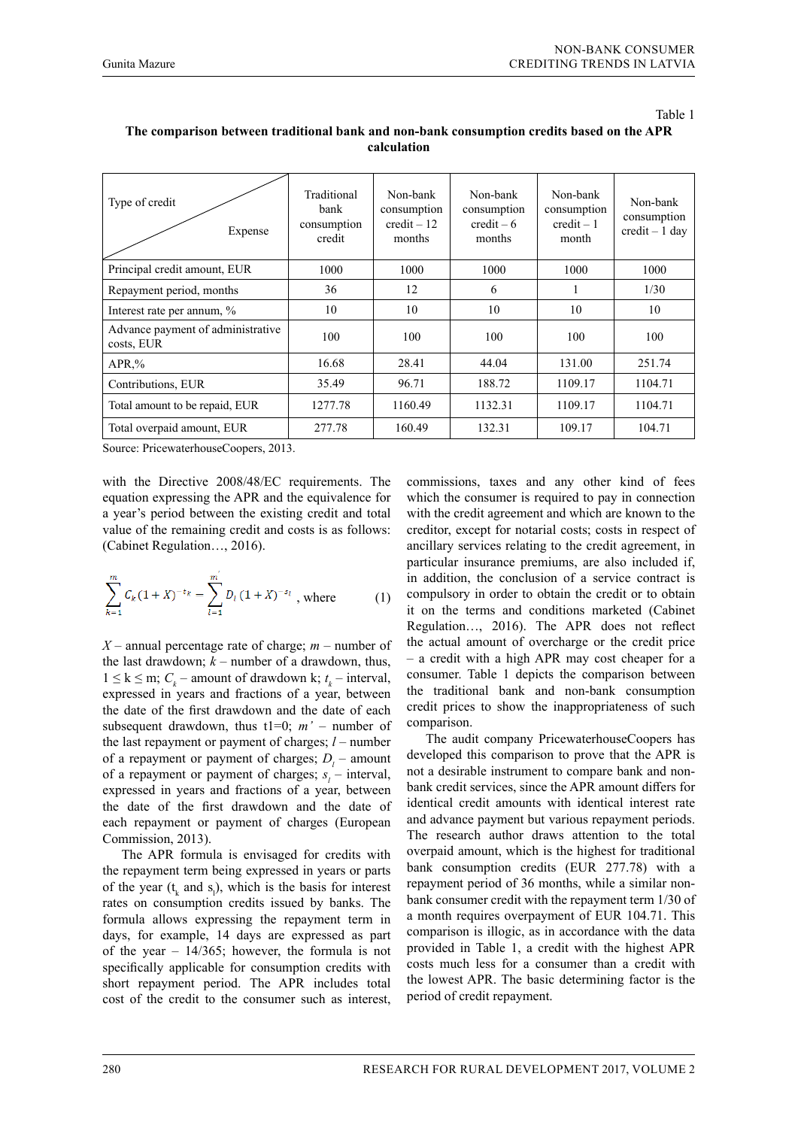compared with the previous year; however changes relate with other types of credits, i.e. the share of distance

| Traditional<br>bank<br>consumption<br>credit | Non-bank<br>consumption<br>$credit - 12$<br>months | Non-bank<br>consumption<br>$\text{credit} - 6$<br>months | Non-bank<br>consumption<br>$credit - 1$<br>month | Non-bank<br>consumption<br>$credit - 1 day$ |
|----------------------------------------------|----------------------------------------------------|----------------------------------------------------------|--------------------------------------------------|---------------------------------------------|
| 1000                                         | 1000                                               | 1000                                                     | 1000                                             | 1000                                        |
| 36                                           | 12                                                 | 6                                                        |                                                  | 1/30                                        |
| 10                                           | 10                                                 | 10                                                       | 10                                               | 10                                          |
| 100                                          | 100                                                | 100                                                      | 100                                              | 100                                         |
| 16.68                                        | 28.41                                              | 44.04                                                    | 131.00                                           | 251.74                                      |
| 35.49                                        | 96.71                                              | 188.72                                                   | 1109.17                                          | 1104.71                                     |
| 1277.78                                      | 1160.49                                            | 1132.31                                                  | 1109.17                                          | 1104.71                                     |
| 277.78                                       | 160.49                                             | 132.31                                                   | 109.17                                           | 104.71                                      |
|                                              |                                                    |                                                          |                                                  |                                             |

#### The comparison between traditional bank and non-bank consumption credits based on the APR  $\frac{1}{\sqrt{2}}$  increase goes for the number of regelections. The primarily respectively reasons for regelections. include incompliability of consumers with the criteria for crediting, for example, members of Latvian Association **calculation**

Source: PricewaterhouseCoopers, 2013.

with the Directive 2008/48/EC requirements. The commissions, taxes equation expressing the APR and the equivalence for which the consumer i a year's period between the existing credit and total with the credit agreen value of the remaining credit and costs is as follows: creditor, except for n (Cabinet Regulation…, 2016).  $f_{\rm Ca}$ 

$$
\sum_{k=1}^{m} C_k (1+X)^{-t_k} = \sum_{l=1}^{m'} D_l (1+X)^{-s_l}
$$
, where (1)   
complays or in addition, the  
it on the terms

*X* – annual percentage rate of charge; *m* – number of the actual amount of the last drawdown;  $k$  – number of a drawdown, thus,  $\tau$  – a credit with a high 1 ≤ k ≤ m;  $C_k$  – amount of drawdown k;  $t_k$  – interval, expressed in years and fractions of a year, between the date of the first drawdown and the date of each subsequent drawdown, thus  $t1=0$ ;  $m'$  – number of the last repayment or payment of charges; *l* – number of a repayment or payment of charges;  $D_l$  – amount of a repayment or payment of charges;  $s_i$  – interval, expressed in years and fractions of a year, between the date of the first drawdown and the date of each repayment or payment of charges (European Commission, 2013).

> The APR formula is envisaged for credits with the repayment term being expressed in years or parts of the year  $(t_k$  and  $s_l$ ), which is the basis for interest rates on consumption credits issued by banks. The formula allows expressing the repayment term in days, for example, 14 days are expressed as part of the year  $-14/365$ ; however, the formula is not specifically applicable for consumption credits with short repayment period. The APR includes total cost of the credit to the consumer such as interest,

commissions, taxes and any other kind of fees which the consumer is required to pay in connection with the credit agreement and which are known to the creditor, except for notarial costs; costs in respect of ancillary services relating to the credit agreement, in particular insurance premiums, are also included if, in addition, the conclusion of a service contract is compulsory in order to obtain the credit or to obtain it on the terms and conditions marketed (Cabinet Regulation…, 2016). The APR does not reflect the actual amount of overcharge or the credit price – a credit with a high APR may cost cheaper for a consumer. Table 1 depicts the comparison between the traditional bank and non-bank consumption credit prices to show the inappropriateness of such comparison.

The audit company PricewaterhouseCoopers has developed this comparison to prove that the APR is not a desirable instrument to compare bank and nonbank credit services, since the APR amount differs for identical credit amounts with identical interest rate and advance payment but various repayment periods. The research author draws attention to the total overpaid amount, which is the highest for traditional bank consumption credits (EUR 277.78) with a repayment period of 36 months, while a similar nonbank consumer credit with the repayment term 1/30 of a month requires overpayment of EUR 104.71. This comparison is illogic, as in accordance with the data provided in Table 1, a credit with the highest APR costs much less for a consumer than a credit with the lowest APR. The basic determining factor is the period of credit repayment.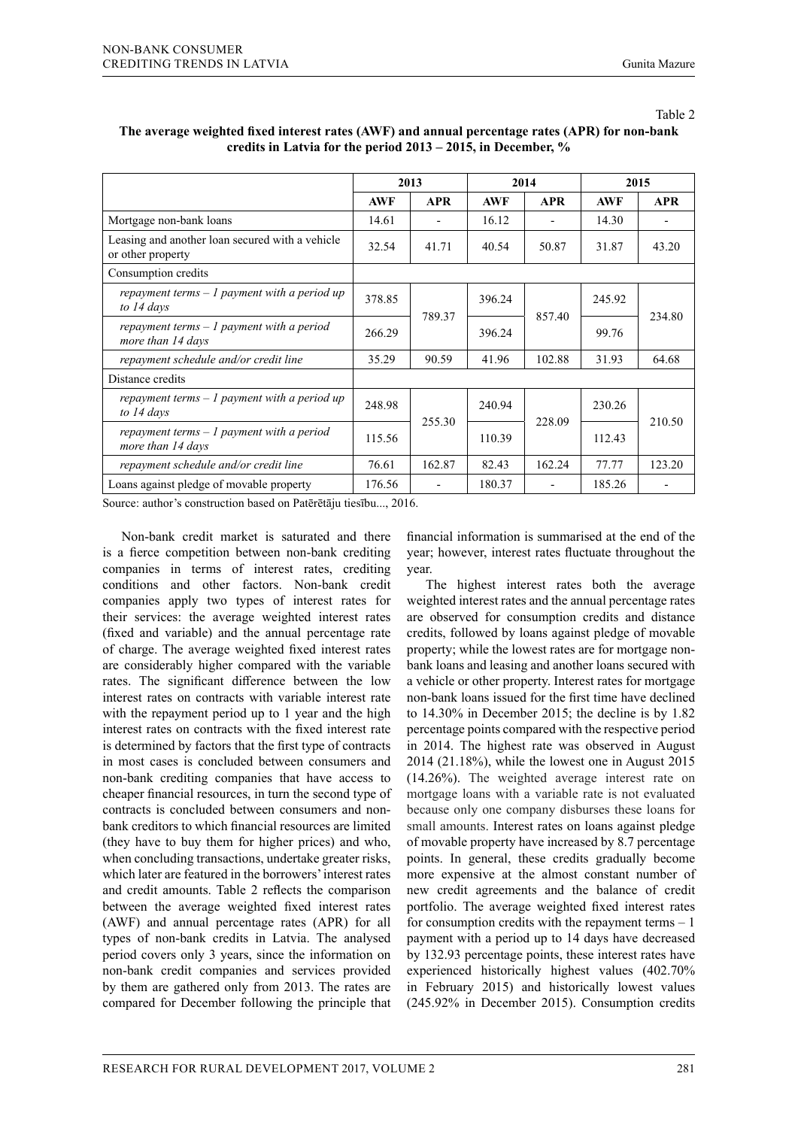|--|--|

|                                                                      | 2013       |            | 2014       |            | 2015       |            |
|----------------------------------------------------------------------|------------|------------|------------|------------|------------|------------|
|                                                                      | <b>AWF</b> | <b>APR</b> | <b>AWF</b> | <b>APR</b> | <b>AWF</b> | <b>APR</b> |
| Mortgage non-bank loans                                              | 14.61      | ۰          | 16.12      |            | 14.30      |            |
| Leasing and another loan secured with a vehicle<br>or other property | 32.54      | 41.71      | 40.54      | 50.87      | 31.87      | 43.20      |
| Consumption credits                                                  |            |            |            |            |            |            |
| repayment terms $-1$ payment with a period up<br>to 14 days          | 378.85     | 789.37     | 396.24     | 857.40     | 245.92     | 234.80     |
| repayment terms $-1$ payment with a period<br>more than 14 days      | 266.29     |            | 396.24     |            | 99.76      |            |
| repayment schedule and/or credit line                                | 35.29      | 90.59      | 41.96      | 102.88     | 31.93      | 64.68      |
| Distance credits                                                     |            |            |            |            |            |            |
| repayment terms $-1$ payment with a period up<br>to 14 days          | 248.98     | 255.30     | 240.94     | 228.09     | 230.26     | 210.50     |
| repayment terms $-1$ payment with a period<br>more than 14 days      | 115.56     |            | 110.39     |            | 112.43     |            |
| repayment schedule and/or credit line                                | 76.61      | 162.87     | 82.43      | 162.24     | 77.77      | 123.20     |
| Loans against pledge of movable property                             | 176.56     |            | 180.37     |            | 185.26     |            |

## **The average weighted fixed interest rates (AWF) and annual percentage rates (APR) for non-bank credits in Latvia for the period 2013 – 2015, in December, %**

Source: author's construction based on Patērētāju tiesību..., 2016.

Non-bank credit market is saturated and there is a fierce competition between non-bank crediting companies in terms of interest rates, crediting conditions and other factors. Non-bank credit companies apply two types of interest rates for their services: the average weighted interest rates (fixed and variable) and the annual percentage rate of charge. The average weighted fixed interest rates are considerably higher compared with the variable rates. The significant difference between the low interest rates on contracts with variable interest rate with the repayment period up to 1 year and the high interest rates on contracts with the fixed interest rate is determined by factors that the first type of contracts in most cases is concluded between consumers and non-bank crediting companies that have access to cheaper financial resources, in turn the second type of contracts is concluded between consumers and nonbank creditors to which financial resources are limited (they have to buy them for higher prices) and who, when concluding transactions, undertake greater risks, which later are featured in the borrowers' interest rates and credit amounts. Table 2 reflects the comparison between the average weighted fixed interest rates (AWF) and annual percentage rates (APR) for all types of non-bank credits in Latvia. The analysed period covers only 3 years, since the information on non-bank credit companies and services provided by them are gathered only from 2013. The rates are compared for December following the principle that

financial information is summarised at the end of the year; however, interest rates fluctuate throughout the year.

The highest interest rates both the average weighted interest rates and the annual percentage rates are observed for consumption credits and distance credits, followed by loans against pledge of movable property; while the lowest rates are for mortgage nonbank loans and leasing and another loans secured with a vehicle or other property. Interest rates for mortgage non-bank loans issued for the first time have declined to 14.30% in December 2015; the decline is by 1.82 percentage points compared with the respective period in 2014. The highest rate was observed in August 2014 (21.18%), while the lowest one in August 2015 (14.26%). The weighted average interest rate on mortgage loans with a variable rate is not evaluated because only one company disburses these loans for small amounts. Interest rates on loans against pledge of movable property have increased by 8.7 percentage points. In general, these credits gradually become more expensive at the almost constant number of new credit agreements and the balance of credit portfolio. The average weighted fixed interest rates for consumption credits with the repayment terms  $-1$ payment with a period up to 14 days have decreased by 132.93 percentage points, these interest rates have experienced historically highest values (402.70% in February 2015) and historically lowest values (245.92% in December 2015). Consumption credits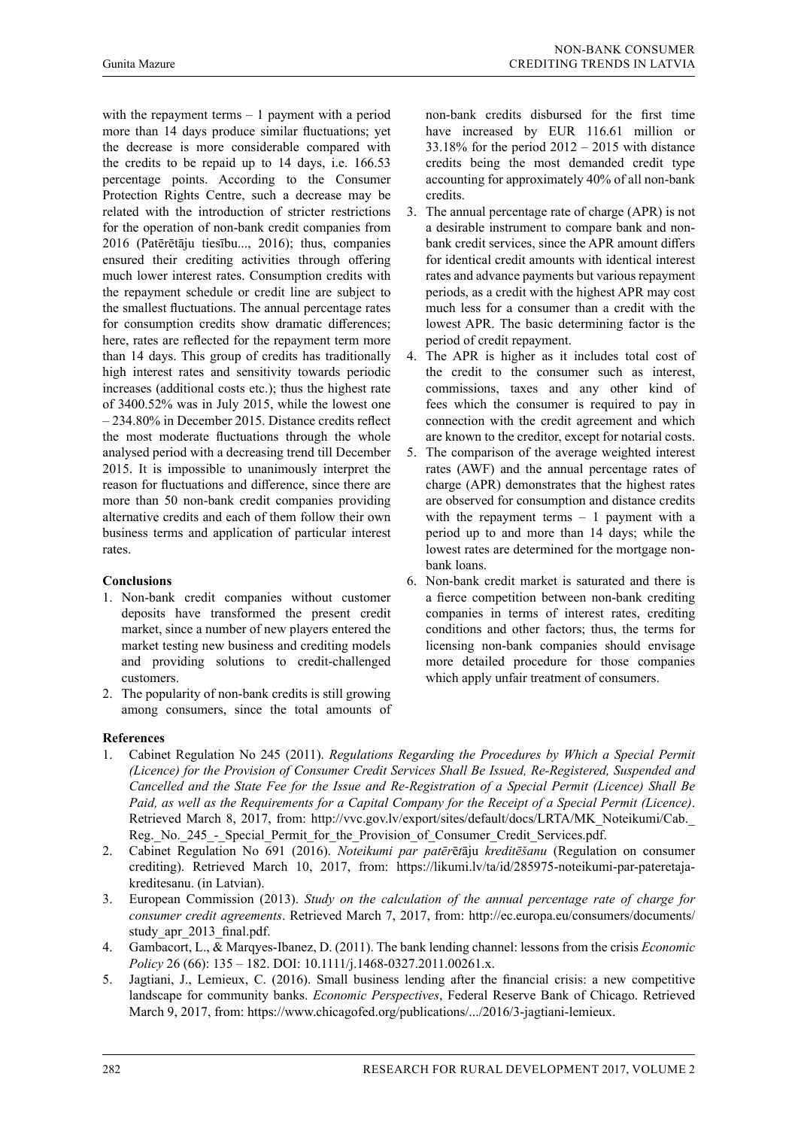with the repayment terms  $-1$  payment with a period more than 14 days produce similar fluctuations; yet the decrease is more considerable compared with the credits to be repaid up to 14 days, i.e. 166.53 percentage points. According to the Consumer Protection Rights Centre, such a decrease may be related with the introduction of stricter restrictions for the operation of non-bank credit companies from 2016 (Patērētāju tiesību..., 2016); thus, companies ensured their crediting activities through offering much lower interest rates. Consumption credits with the repayment schedule or credit line are subject to the smallest fluctuations. The annual percentage rates for consumption credits show dramatic differences; here, rates are reflected for the repayment term more than 14 days. This group of credits has traditionally high interest rates and sensitivity towards periodic increases (additional costs etc.); thus the highest rate of 3400.52% was in July 2015, while the lowest one – 234.80% in December 2015. Distance credits reflect the most moderate fluctuations through the whole analysed period with a decreasing trend till December 2015. It is impossible to unanimously interpret the reason for fluctuations and difference, since there are more than 50 non-bank credit companies providing alternative credits and each of them follow their own business terms and application of particular interest rates.

## **Conclusions**

- 1. Non-bank credit companies without customer deposits have transformed the present credit market, since a number of new players entered the market testing new business and crediting models and providing solutions to credit-challenged customers.
- 2. The popularity of non-bank credits is still growing among consumers, since the total amounts of

non-bank credits disbursed for the first time have increased by EUR 116.61 million or  $33.18\%$  for the period  $2012 - 2015$  with distance credits being the most demanded credit type accounting for approximately 40% of all non-bank credits.

- 3. The annual percentage rate of charge (APR) is not a desirable instrument to compare bank and nonbank credit services, since the APR amount differs for identical credit amounts with identical interest rates and advance payments but various repayment periods, as a credit with the highest APR may cost much less for a consumer than a credit with the lowest APR. The basic determining factor is the period of credit repayment.
- 4. The APR is higher as it includes total cost of the credit to the consumer such as interest, commissions, taxes and any other kind of fees which the consumer is required to pay in connection with the credit agreement and which are known to the creditor, except for notarial costs.
- 5. The comparison of the average weighted interest rates (AWF) and the annual percentage rates of charge (APR) demonstrates that the highest rates are observed for consumption and distance credits with the repayment terms  $-1$  payment with a period up to and more than 14 days; while the lowest rates are determined for the mortgage nonbank loans.
- 6. Non-bank credit market is saturated and there is a fierce competition between non-bank crediting companies in terms of interest rates, crediting conditions and other factors; thus, the terms for licensing non-bank companies should envisage more detailed procedure for those companies which apply unfair treatment of consumers.

## **References**

- 1. Cabinet Regulation No 245 (2011). *Regulations Regarding the Procedures by Which a Special Permit (Licence) for the Provision of Consumer Credit Services Shall Be Issued, Re-Registered, Suspended and Cancelled and the State Fee for the Issue and Re-Registration of a Special Permit (Licence) Shall Be Paid, as well as the Requirements for a Capital Company for the Receipt of a Special Permit (Licence)*. Retrieved March 8, 2017, from: http://vvc.gov.lv/export/sites/default/docs/LRTA/MK\_Noteikumi/Cab. Reg.\_No.\_245\_-\_Special\_Permit\_for\_the\_Provision\_of\_Consumer\_Credit\_Services.pdf.
- 2. Cabinet Regulation No 691 (2016). *Noteikumi par patēr*ē*t*āju *kreditēšanu* (Regulation on consumer crediting). Retrieved March 10, 2017, from: https://likumi.lv/ta/id/285975-noteikumi-par-pateretajakreditesanu. (in Latvian).
- 3. European Commission (2013). *Study on the calculation of the annual percentage rate of charge for consumer credit agreements*. Retrieved March 7, 2017, from: http://ec.europa.eu/consumers/documents/ study apr 2013 final.pdf.
- 4. Gambacort, L., & Marqyes-Ibanez, D. (2011). The bank lending channel: lessons from the crisis *Economic Policy* 26 (66): 135 – 182. DOI: 10.1111/j.1468-0327.2011.00261.x.
- 5. Jagtiani, J., Lemieux, C. (2016). Small business lending after the financial crisis: a new competitive landscape for community banks. *Economic Perspectives*, Federal Reserve Bank of Chicago. Retrieved March 9, 2017, from: https://www.chicagofed.org/publications/.../2016/3-jagtiani-lemieux.